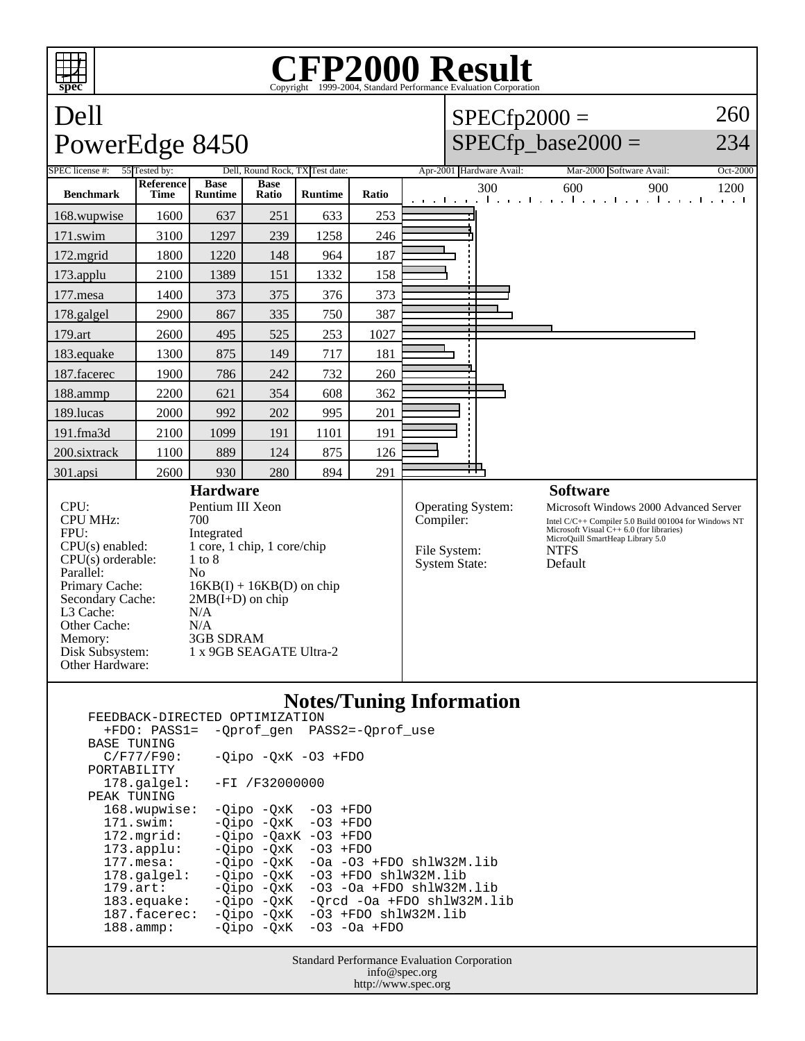## **spec CFP2000 Result** Copyright ©1999-2004, Standard Performance Evaluation Dell PowerEdge 8450  $SPECfp2000 =$  $SPECfp\_base2000 =$ 260 234 SPEC license #: 55 Tested by: Dell, Round Rock, TX Test date: Apr-2001 Hardware Avail: Mar-2000 Software Avail: Oct-2000 **Benchmark Reference Time Base Runtime Base Runtime Ratio Ratio Ratio Runtime Ratio Ratio Ratio 1200 1200 1200 1200** 168.wupwise 1600 637 251 633 253 171.swim | 3100 | 1297 | 239 | 1258 | 246 172.mgrid 1800 1220 148 964 187 173.applu | 2100 | 1389 | 151 | 1332 | 158 177.mesa | 1400 | 373 | 375 | 376 | 373 178.galgel | 2900 | 867 | 335 | 750 | 387 179.art | 2600 | 495 | 525 | 253 | 1027 183.equake 1300 875 149 717 181 187.facerec | 1900 | 786 | 242 | 732 | 260 188.ammp | 2200 | 621 | 354 | 608 | 362 189.lucas | 2000 | 992 | 202 | 995 | 201 191.fma3d 2100 1099 191 1101 191 200.sixtrack 1100 889 124 875 126 301.apsi 2600 930 280 894 291 **Hardware** CPU: Pentium III Xeon<br>CPU MHz: 700 CPU MHz: FPU: Integrated  $CPU(s)$  enabled:  $1 core, 1 chip, 1 core/chip$ <br> $CPU(s)$  orderable:  $1 to 8$  $CPU(s)$  orderable: Parallel: No<br>Primary Cache: 16 Primary Cache:  $16KB(I) + 16KB(D)$  on chip<br>Secondary Cache:  $2MB(I+D)$  on chip  $2MB(I+D)$  on chip L3 Cache: N/A<br>Other Cache: N/A Other Cache:<br>Memory: 3GB SDRAM Disk Subsystem: 1 x 9GB SEAGATE Ultra-2 Other Hardware: **Software** Operating System: Microsoft Windows 2000 Advanced Server<br>
Compiler: Intel C/C++ Compiler 5.0 Build 001004 for Windows NT Intel C/C++ Compiler 5.0 Build 001004 for Windows NT Microsoft Visual C++ 6.0 (for libraries) MicroQuill SmartHeap Library 5.0 File System: NTFS<br>System State: Default System State:

## **Notes/Tuning Information**

| FEEDBACK-DIRECTED OPTIMIZATION                     |                              | ິ                                                 |  |  |  |  |
|----------------------------------------------------|------------------------------|---------------------------------------------------|--|--|--|--|
|                                                    |                              | +FDO: PASS1= -Oprof gen PASS2=-Oprof use          |  |  |  |  |
| <b>BASE TUNING</b>                                 |                              |                                                   |  |  |  |  |
| $C/F77/F90$ :                                      | $-0$ ipo $-0xK$ $-03$ $+FDO$ |                                                   |  |  |  |  |
| PORTABILITY                                        |                              |                                                   |  |  |  |  |
| $178.\text{q}$                                     | -FI /F32000000               |                                                   |  |  |  |  |
| PEAK TUNING                                        |                              |                                                   |  |  |  |  |
| 168.wupwise:                                       | $-Oipo -OXK -O3 + FDO$       |                                                   |  |  |  |  |
| 171.swim:                                          | $-Oipo -OXK -O3 + FDO$       |                                                   |  |  |  |  |
| 172.mgrid:                                         | $-Oipo -OaxK -O3 + FDO$      |                                                   |  |  |  |  |
| $173.\text{applu}:$                                | $-Oipo -OXK -O3 + FDO$       |                                                   |  |  |  |  |
| $177.\text{mesa}$ :                                |                              | $-Oipo$ $-OXK$ $-Oa$ $-O3$ $+FDO$ $sh1W32M.lib$   |  |  |  |  |
| $178.\text{qalgel}$ :                              |                              | $-Oipo -OXK -O3 + FDO shlW32M.lib$                |  |  |  |  |
| $179.\text{art}$ :                                 |                              | $-Oipo -OXK -O3 -Oa + FDO sh1W32M.lib$            |  |  |  |  |
|                                                    |                              | 183.equake: -Qipo -QxK -Qrcd -Oa +FDO shlW32M.lib |  |  |  |  |
| 187.facerec:                                       |                              | $-Qipo -QxK -O3 + FDO sh1W32M.lib$                |  |  |  |  |
| $188.\text{amp}:$                                  |                              | $-Oipo -OXK -O3 -Oa + FDO$                        |  |  |  |  |
|                                                    |                              |                                                   |  |  |  |  |
| <b>Standard Performance Evaluation Corporation</b> |                              |                                                   |  |  |  |  |
| info@spec.org                                      |                              |                                                   |  |  |  |  |

http://www.spec.org